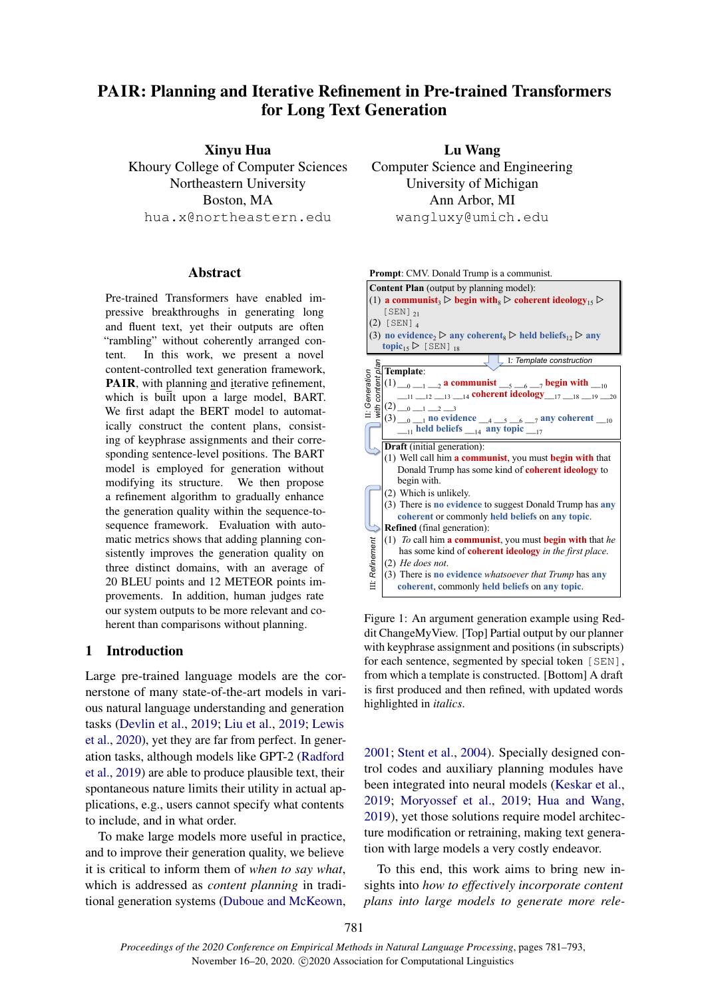# PAIR: Planning and Iterative Refinement in Pre-trained Transformers for Long Text Generation

Xinyu Hua Khoury College of Computer Sciences Northeastern University Boston, MA hua.x@northeastern.edu

#### Abstract

Pre-trained Transformers have enabled impressive breakthroughs in generating long and fluent text, yet their outputs are often "rambling" without coherently arranged content. In this work, we present a novel content-controlled text generation framework, PAIR, with planning and iterative refinement, which is built upon a large model, BART. We first adapt the BERT model to automatically construct the content plans, consisting of keyphrase assignments and their corresponding sentence-level positions. The BART model is employed for generation without modifying its structure. We then propose a refinement algorithm to gradually enhance the generation quality within the sequence-tosequence framework. Evaluation with automatic metrics shows that adding planning consistently improves the generation quality on three distinct domains, with an average of 20 BLEU points and 12 METEOR points improvements. In addition, human judges rate our system outputs to be more relevant and coherent than comparisons without planning.

# 1 Introduction

Large pre-trained language models are the cornerstone of many state-of-the-art models in various natural language understanding and generation tasks [\(Devlin et al.,](#page-9-0) [2019;](#page-9-0) [Liu et al.,](#page-10-0) [2019;](#page-10-0) [Lewis](#page-10-1) [et al.,](#page-10-1) [2020\)](#page-10-1), yet they are far from perfect. In generation tasks, although models like GPT-2 [\(Radford](#page-11-0) [et al.,](#page-11-0) [2019\)](#page-11-0) are able to produce plausible text, their spontaneous nature limits their utility in actual applications, e.g., users cannot specify what contents to include, and in what order.

To make large models more useful in practice, and to improve their generation quality, we believe it is critical to inform them of *when to say what*, which is addressed as *content planning* in traditional generation systems [\(Duboue and McKeown,](#page-9-1)

Lu Wang Computer Science and Engineering University of Michigan Ann Arbor, MI wangluxy@umich.edu

<span id="page-0-0"></span>

Figure 1: An argument generation example using Reddit ChangeMyView. [Top] Partial output by our planner with keyphrase assignment and positions (in subscripts) for each sentence, segmented by special token [SEN], from which a template is constructed. [Bottom] A draft is first produced and then refined, with updated words highlighted in *italics*.

[2001;](#page-9-1) [Stent et al.,](#page-11-1) [2004\)](#page-11-1). Specially designed control codes and auxiliary planning modules have been integrated into neural models [\(Keskar et al.,](#page-10-2) [2019;](#page-10-2) [Moryossef et al.,](#page-10-3) [2019;](#page-10-3) [Hua and Wang,](#page-10-4) [2019\)](#page-10-4), yet those solutions require model architecture modification or retraining, making text generation with large models a very costly endeavor.

To this end, this work aims to bring new insights into *how to effectively incorporate content plans into large models to generate more rele-*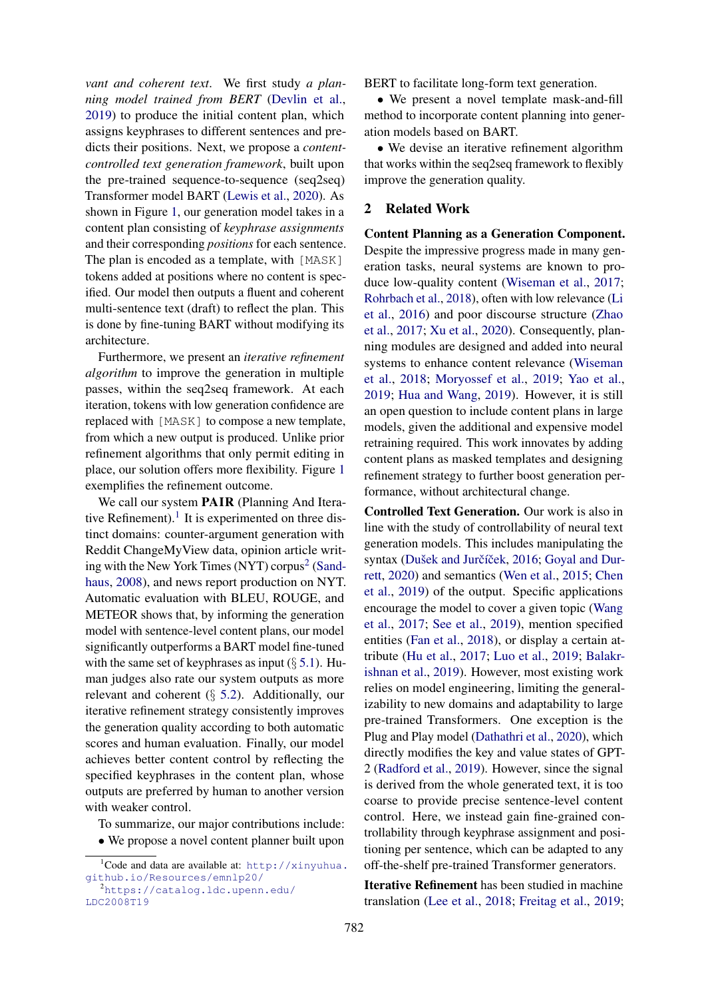*vant and coherent text*. We first study *a planning model trained from BERT* [\(Devlin et al.,](#page-9-0) [2019\)](#page-9-0) to produce the initial content plan, which assigns keyphrases to different sentences and predicts their positions. Next, we propose a *contentcontrolled text generation framework*, built upon the pre-trained sequence-to-sequence (seq2seq) Transformer model BART [\(Lewis et al.,](#page-10-1) [2020\)](#page-10-1). As shown in Figure [1,](#page-0-0) our generation model takes in a content plan consisting of *keyphrase assignments* and their corresponding *positions* for each sentence. The plan is encoded as a template, with [MASK] tokens added at positions where no content is specified. Our model then outputs a fluent and coherent multi-sentence text (draft) to reflect the plan. This is done by fine-tuning BART without modifying its architecture.

Furthermore, we present an *iterative refinement algorithm* to improve the generation in multiple passes, within the seq2seq framework. At each iteration, tokens with low generation confidence are replaced with [MASK] to compose a new template, from which a new output is produced. Unlike prior refinement algorithms that only permit editing in place, our solution offers more flexibility. Figure [1](#page-0-0) exemplifies the refinement outcome.

We call our system **PAIR** (Planning And Itera-tive Refinement).<sup>[1](#page-1-0)</sup> It is experimented on three distinct domains: counter-argument generation with Reddit ChangeMyView data, opinion article writ-ing with the New York Times (NYT) corpus<sup>[2](#page-1-1)</sup> [\(Sand](#page-11-2)[haus,](#page-11-2) [2008\)](#page-11-2), and news report production on NYT. Automatic evaluation with BLEU, ROUGE, and METEOR shows that, by informing the generation model with sentence-level content plans, our model significantly outperforms a BART model fine-tuned with the same set of keyphrases as input  $(\S 5.1)$  $(\S 5.1)$ . Human judges also rate our system outputs as more relevant and coherent (§ [5.2\)](#page-6-0). Additionally, our iterative refinement strategy consistently improves the generation quality according to both automatic scores and human evaluation. Finally, our model achieves better content control by reflecting the specified keyphrases in the content plan, whose outputs are preferred by human to another version with weaker control.

To summarize, our major contributions include:

• We propose a novel content planner built upon

BERT to facilitate long-form text generation.

• We present a novel template mask-and-fill method to incorporate content planning into generation models based on BART.

• We devise an iterative refinement algorithm that works within the seq2seq framework to flexibly improve the generation quality.

# 2 Related Work

Content Planning as a Generation Component. Despite the impressive progress made in many generation tasks, neural systems are known to produce low-quality content [\(Wiseman et al.,](#page-11-3) [2017;](#page-11-3) [Rohrbach et al.,](#page-11-4) [2018\)](#page-11-4), often with low relevance [\(Li](#page-10-5) [et al.,](#page-10-5) [2016\)](#page-10-5) and poor discourse structure [\(Zhao](#page-12-0) [et al.,](#page-12-0) [2017;](#page-12-0) [Xu et al.,](#page-11-5) [2020\)](#page-11-5). Consequently, planning modules are designed and added into neural systems to enhance content relevance [\(Wiseman](#page-11-6) [et al.,](#page-11-6) [2018;](#page-11-6) [Moryossef et al.,](#page-10-3) [2019;](#page-10-3) [Yao et al.,](#page-12-1) [2019;](#page-12-1) [Hua and Wang,](#page-10-4) [2019\)](#page-10-4). However, it is still an open question to include content plans in large models, given the additional and expensive model retraining required. This work innovates by adding content plans as masked templates and designing refinement strategy to further boost generation performance, without architectural change.

Controlled Text Generation. Our work is also in line with the study of controllability of neural text generation models. This includes manipulating the syntax (Dušek and Jurčíček, [2016;](#page-9-2) [Goyal and Dur](#page-9-3)[rett,](#page-9-3) [2020\)](#page-9-3) and semantics [\(Wen et al.,](#page-11-7) [2015;](#page-11-7) [Chen](#page-9-4) [et al.,](#page-9-4) [2019\)](#page-9-4) of the output. Specific applications encourage the model to cover a given topic [\(Wang](#page-11-8) [et al.,](#page-11-8) [2017;](#page-11-8) [See et al.,](#page-11-9) [2019\)](#page-11-9), mention specified entities [\(Fan et al.,](#page-9-5) [2018\)](#page-9-5), or display a certain attribute [\(Hu et al.,](#page-9-6) [2017;](#page-9-6) [Luo et al.,](#page-10-6) [2019;](#page-10-6) [Balakr](#page-8-0)[ishnan et al.,](#page-8-0) [2019\)](#page-8-0). However, most existing work relies on model engineering, limiting the generalizability to new domains and adaptability to large pre-trained Transformers. One exception is the Plug and Play model [\(Dathathri et al.,](#page-9-7) [2020\)](#page-9-7), which directly modifies the key and value states of GPT-2 [\(Radford et al.,](#page-11-0) [2019\)](#page-11-0). However, since the signal is derived from the whole generated text, it is too coarse to provide precise sentence-level content control. Here, we instead gain fine-grained controllability through keyphrase assignment and positioning per sentence, which can be adapted to any off-the-shelf pre-trained Transformer generators.

Iterative Refinement has been studied in machine translation [\(Lee et al.,](#page-10-7) [2018;](#page-10-7) [Freitag et al.,](#page-9-8) [2019;](#page-9-8)

<span id="page-1-0"></span><sup>&</sup>lt;sup>1</sup>Code and data are available at: [http://xinyuhua.](http://xinyuhua.github.io/Resources/emnlp20/) [github.io/Resources/emnlp20/](http://xinyuhua.github.io/Resources/emnlp20/)

<span id="page-1-1"></span><sup>2</sup>[https://catalog.ldc.upenn.edu/](https://catalog.ldc.upenn.edu/LDC2008T19) [LDC2008T19](https://catalog.ldc.upenn.edu/LDC2008T19)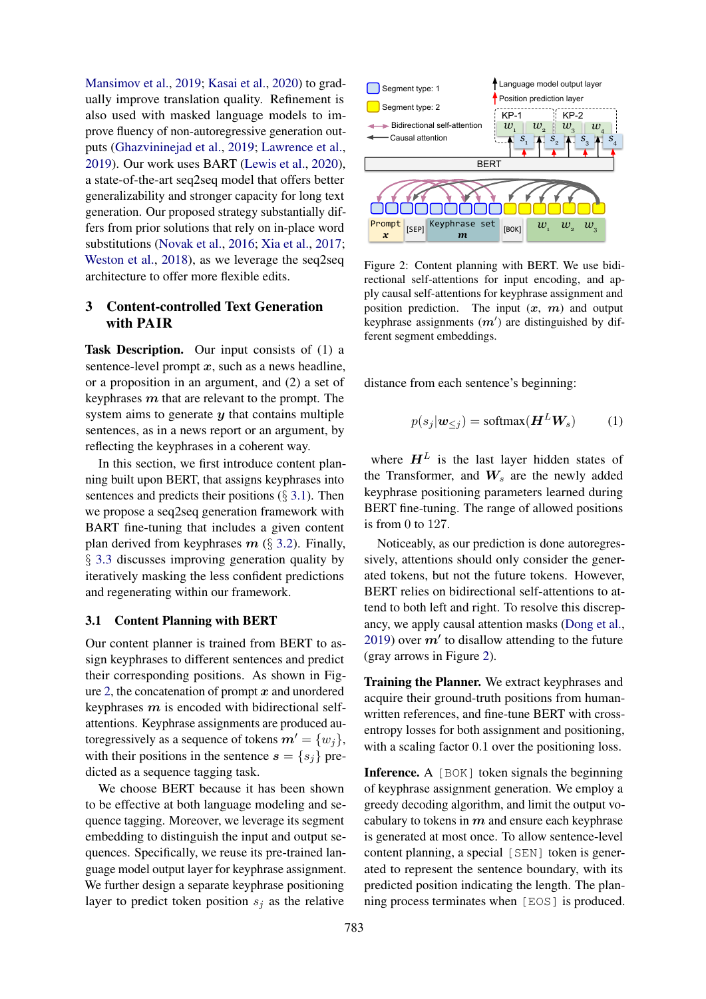[Mansimov et al.,](#page-10-8) [2019;](#page-10-8) [Kasai et al.,](#page-10-9) [2020\)](#page-10-9) to gradually improve translation quality. Refinement is also used with masked language models to improve fluency of non-autoregressive generation outputs [\(Ghazvininejad et al.,](#page-9-9) [2019;](#page-9-9) [Lawrence et al.,](#page-10-10) [2019\)](#page-10-10). Our work uses BART [\(Lewis et al.,](#page-10-1) [2020\)](#page-10-1), a state-of-the-art seq2seq model that offers better generalizability and stronger capacity for long text generation. Our proposed strategy substantially differs from prior solutions that rely on in-place word substitutions [\(Novak et al.,](#page-10-11) [2016;](#page-10-11) [Xia et al.,](#page-11-10) [2017;](#page-11-10) [Weston et al.,](#page-11-11) [2018\)](#page-11-11), as we leverage the seq2seq architecture to offer more flexible edits.

# 3 Content-controlled Text Generation with PAIR

Task Description. Our input consists of (1) a sentence-level prompt  $x$ , such as a news headline, or a proposition in an argument, and (2) a set of keyphrases  $m$  that are relevant to the prompt. The system aims to generate  $y$  that contains multiple sentences, as in a news report or an argument, by reflecting the keyphrases in a coherent way.

In this section, we first introduce content planning built upon BERT, that assigns keyphrases into sentences and predicts their positions  $(\S 3.1)$  $(\S 3.1)$ . Then we propose a seq2seq generation framework with BART fine-tuning that includes a given content plan derived from keyphrases  $m$  (§ [3.2\)](#page-3-0). Finally, § [3.3](#page-3-1) discusses improving generation quality by iteratively masking the less confident predictions and regenerating within our framework.

#### <span id="page-2-0"></span>3.1 Content Planning with BERT

Our content planner is trained from BERT to assign keyphrases to different sentences and predict their corresponding positions. As shown in Fig-ure [2,](#page-2-1) the concatenation of prompt  $x$  and unordered keyphrases  $m$  is encoded with bidirectional selfattentions. Keyphrase assignments are produced autoregressively as a sequence of tokens  $m' = \{w_i\},\$ with their positions in the sentence  $s = \{s_i\}$  predicted as a sequence tagging task.

We choose BERT because it has been shown to be effective at both language modeling and sequence tagging. Moreover, we leverage its segment embedding to distinguish the input and output sequences. Specifically, we reuse its pre-trained language model output layer for keyphrase assignment. We further design a separate keyphrase positioning layer to predict token position  $s_j$  as the relative

<span id="page-2-1"></span>

Figure 2: Content planning with BERT. We use bidirectional self-attentions for input encoding, and apply causal self-attentions for keyphrase assignment and position prediction. The input  $(x, m)$  and output keyphrase assignments  $(m')$  are distinguished by different segment embeddings.

distance from each sentence's beginning:

$$
p(s_j | \mathbf{w}_{\leq j}) = \text{softmax}(\mathbf{H}^L \mathbf{W}_s)
$$
 (1)

where  $H<sup>L</sup>$  is the last layer hidden states of the Transformer, and  $W_s$  are the newly added keyphrase positioning parameters learned during BERT fine-tuning. The range of allowed positions is from 0 to 127.

Noticeably, as our prediction is done autoregressively, attentions should only consider the generated tokens, but not the future tokens. However, BERT relies on bidirectional self-attentions to attend to both left and right. To resolve this discrepancy, we apply causal attention masks [\(Dong et al.,](#page-9-10) [2019\)](#page-9-10) over  $m'$  to disallow attending to the future (gray arrows in Figure [2\)](#page-2-1).

Training the Planner. We extract keyphrases and acquire their ground-truth positions from humanwritten references, and fine-tune BERT with crossentropy losses for both assignment and positioning, with a scaling factor 0.1 over the positioning loss.

Inference. A [BOK] token signals the beginning of keyphrase assignment generation. We employ a greedy decoding algorithm, and limit the output vocabulary to tokens in  $m$  and ensure each keyphrase is generated at most once. To allow sentence-level content planning, a special [SEN] token is generated to represent the sentence boundary, with its predicted position indicating the length. The planning process terminates when [EOS] is produced.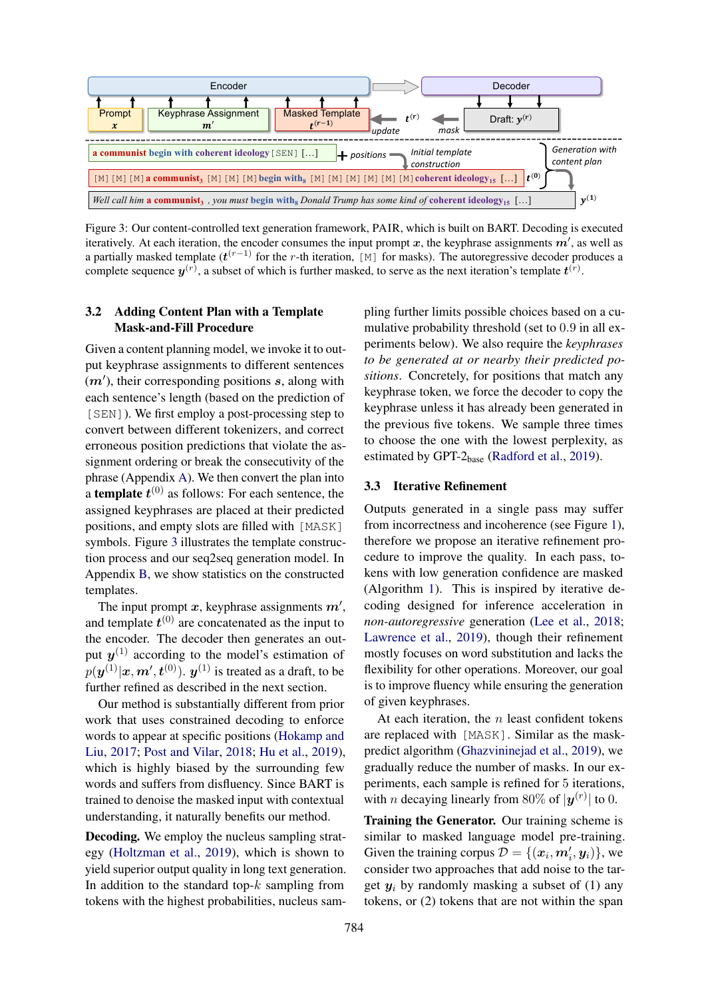<span id="page-3-2"></span>

Figure 3: Our content-controlled text generation framework, PAIR, which is built on BART. Decoding is executed iteratively. At each iteration, the encoder consumes the input prompt x, the keyphrase assignments  $m'$ , as well as a partially masked template ( $t^{(r-1)}$  for the r-th iteration, [M] for masks). The autoregressive decoder produces a complete sequence  $y^{(r)}$ , a subset of which is further masked, to serve as the next iteration's template  $t^{(r)}$ .

# <span id="page-3-0"></span>3.2 Adding Content Plan with a Template Mask-and-Fill Procedure

Given a content planning model, we invoke it to output keyphrase assignments to different sentences  $(m')$ , their corresponding positions  $s$ , along with each sentence's length (based on the prediction of [SEN]). We first employ a post-processing step to convert between different tokenizers, and correct erroneous position predictions that violate the assignment ordering or break the consecutivity of the phrase (Appendix [A\)](#page-12-2). We then convert the plan into a **template**  $t^{(0)}$  as follows: For each sentence, the assigned keyphrases are placed at their predicted positions, and empty slots are filled with [MASK] symbols. Figure [3](#page-3-2) illustrates the template construction process and our seq2seq generation model. In Appendix [B,](#page-12-3) we show statistics on the constructed templates.

The input prompt x, keyphrase assignments  $m'$ , and template  $t^{(0)}$  are concatenated as the input to the encoder. The decoder then generates an output  $y^{(1)}$  according to the model's estimation of  $p(\bm{y}^{(1)}|\bm{x},\bm{m}',\bm{t}^{(0)}).~\bm{y}^{(1)}$  is treated as a draft, to be further refined as described in the next section.

Our method is substantially different from prior work that uses constrained decoding to enforce words to appear at specific positions [\(Hokamp and](#page-9-11) [Liu,](#page-9-11) [2017;](#page-9-11) [Post and Vilar,](#page-11-12) [2018;](#page-11-12) [Hu et al.,](#page-9-12) [2019\)](#page-9-12), which is highly biased by the surrounding few words and suffers from disfluency. Since BART is trained to denoise the masked input with contextual understanding, it naturally benefits our method.

Decoding. We employ the nucleus sampling strategy [\(Holtzman et al.,](#page-9-13) [2019\)](#page-9-13), which is shown to yield superior output quality in long text generation. In addition to the standard top- $k$  sampling from tokens with the highest probabilities, nucleus sampling further limits possible choices based on a cumulative probability threshold (set to 0.9 in all experiments below). We also require the *keyphrases to be generated at or nearby their predicted positions*. Concretely, for positions that match any keyphrase token, we force the decoder to copy the keyphrase unless it has already been generated in the previous five tokens. We sample three times to choose the one with the lowest perplexity, as estimated by GPT-2<sub>base</sub> [\(Radford et al.,](#page-11-0) [2019\)](#page-11-0).

## <span id="page-3-1"></span>3.3 Iterative Refinement

Outputs generated in a single pass may suffer from incorrectness and incoherence (see Figure [1\)](#page-0-0), therefore we propose an iterative refinement procedure to improve the quality. In each pass, tokens with low generation confidence are masked (Algorithm [1\)](#page-4-0). This is inspired by iterative decoding designed for inference acceleration in *non-autoregressive* generation [\(Lee et al.,](#page-10-7) [2018;](#page-10-7) [Lawrence et al.,](#page-10-10) [2019\)](#page-10-10), though their refinement mostly focuses on word substitution and lacks the flexibility for other operations. Moreover, our goal is to improve fluency while ensuring the generation of given keyphrases.

At each iteration, the  $n$  least confident tokens are replaced with [MASK]. Similar as the maskpredict algorithm [\(Ghazvininejad et al.,](#page-9-9) [2019\)](#page-9-9), we gradually reduce the number of masks. In our experiments, each sample is refined for 5 iterations, with *n* decaying linearly from 80% of  $|\mathbf{y}^{(r)}|$  to 0.

Training the Generator. Our training scheme is similar to masked language model pre-training. Given the training corpus  $D = \{(\boldsymbol{x}_i, \boldsymbol{m}'_i, \boldsymbol{y}_i)\}\,$ , we consider two approaches that add noise to the target  $y_i$  by randomly masking a subset of (1) any tokens, or (2) tokens that are not within the span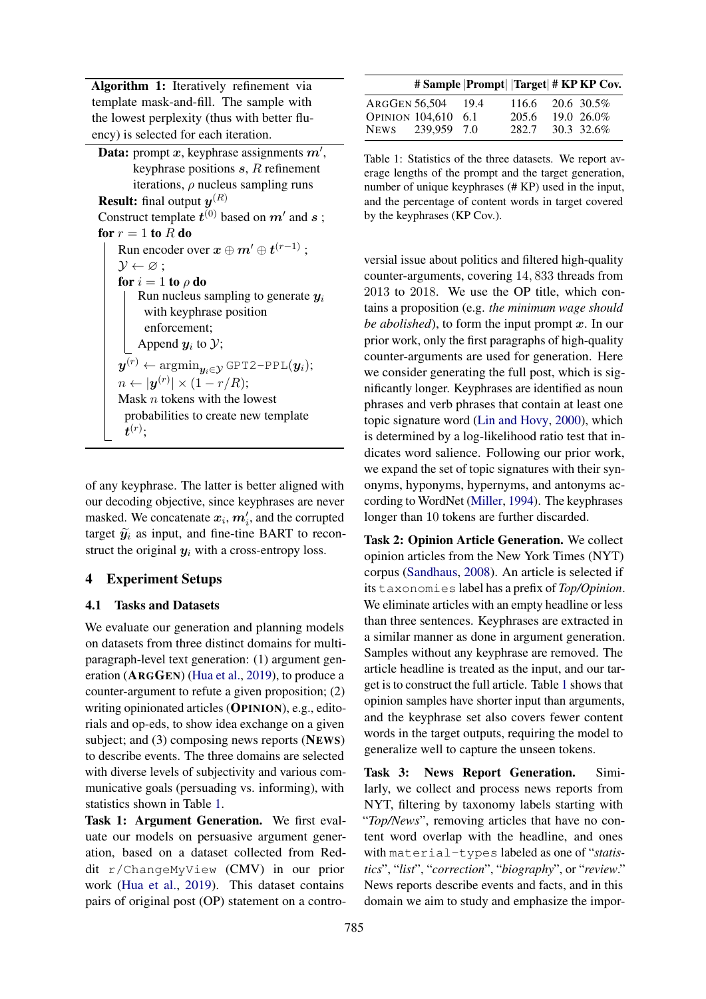Algorithm 1: Iteratively refinement via template mask-and-fill. The sample with the lowest perplexity (thus with better fluency) is selected for each iteration.

**Data:** prompt x, keyphrase assignments  $m'$ , keyphrase positions  $s$ ,  $R$  refinement iterations,  $\rho$  nucleus sampling runs **Result:** final output  $y^{(R)}$ Construct template  $t^{(0)}$  based on  $m'$  and  $s$  ; for  $r = 1$  to R do Run encoder over  $\boldsymbol{x} \oplus \boldsymbol{m}' \oplus \boldsymbol{t}^{(r-1)}$  ;  $\mathcal{Y} \leftarrow \varnothing$ ; for  $i = 1$  to  $\rho$  do Run nucleus sampling to generate  $y_i$ with keyphrase position enforcement; Append  $y_i$  to  $\mathcal{Y};$  $\boldsymbol{y}^{(r)} \leftarrow \mathop{\mathrm{argmin}}_{\boldsymbol{y}_i \in \mathcal{Y}}$  GPT2-PPL $(\boldsymbol{y}_i);$  $n \leftarrow |\boldsymbol{y}^{(r)}| \times (1 - r/R);$ Mask  $n$  tokens with the lowest probabilities to create new template  $\boldsymbol{t}^{(r)};$ 

<span id="page-4-0"></span>of any keyphrase. The latter is better aligned with our decoding objective, since keyphrases are never masked. We concatenate  $x_i, m'_i$ , and the corrupted target  $\widetilde{y}_i$  as input, and fine-tine BART to reconstruct the original  $y_i$  with a cross-entropy loss.

#### 4 Experiment Setups

#### 4.1 Tasks and Datasets

We evaluate our generation and planning models on datasets from three distinct domains for multiparagraph-level text generation: (1) argument generation (ARGGEN) [\(Hua et al.,](#page-9-14) [2019\)](#page-9-14), to produce a counter-argument to refute a given proposition; (2) writing opinionated articles (OPINION), e.g., editorials and op-eds, to show idea exchange on a given subject; and (3) composing news reports (NEWS) to describe events. The three domains are selected with diverse levels of subjectivity and various communicative goals (persuading vs. informing), with statistics shown in Table [1.](#page-4-1)

Task 1: Argument Generation. We first evaluate our models on persuasive argument generation, based on a dataset collected from Reddit r/ChangeMyView (CMV) in our prior work [\(Hua et al.,](#page-9-14) [2019\)](#page-9-14). This dataset contains pairs of original post (OP) statement on a contro-

<span id="page-4-1"></span>

| # Sample   Prompt    Target  # KP KP Cov. |                  |            |
|-------------------------------------------|------------------|------------|
| ARGGEN 56,504 19.4                        | 116.6 20.6 30.5% |            |
| <b>OPINION 104.610 6.1</b>                | 205.6            | 19.0 26.0% |
| NEWS 239.959 7.0                          | 282.7            | 30.3 32.6% |

Table 1: Statistics of the three datasets. We report average lengths of the prompt and the target generation, number of unique keyphrases (# KP) used in the input, and the percentage of content words in target covered by the keyphrases (KP Cov.).

versial issue about politics and filtered high-quality counter-arguments, covering 14, 833 threads from 2013 to 2018. We use the OP title, which contains a proposition (e.g. *the minimum wage should be abolished*), to form the input prompt  $x$ . In our prior work, only the first paragraphs of high-quality counter-arguments are used for generation. Here we consider generating the full post, which is significantly longer. Keyphrases are identified as noun phrases and verb phrases that contain at least one topic signature word [\(Lin and Hovy,](#page-10-12) [2000\)](#page-10-12), which is determined by a log-likelihood ratio test that indicates word salience. Following our prior work, we expand the set of topic signatures with their synonyms, hyponyms, hypernyms, and antonyms according to WordNet [\(Miller,](#page-10-13) [1994\)](#page-10-13). The keyphrases longer than 10 tokens are further discarded.

Task 2: Opinion Article Generation. We collect opinion articles from the New York Times (NYT) corpus [\(Sandhaus,](#page-11-2) [2008\)](#page-11-2). An article is selected if its taxonomies label has a prefix of *Top/Opinion*. We eliminate articles with an empty headline or less than three sentences. Keyphrases are extracted in a similar manner as done in argument generation. Samples without any keyphrase are removed. The article headline is treated as the input, and our target is to construct the full article. Table [1](#page-4-1) shows that opinion samples have shorter input than arguments, and the keyphrase set also covers fewer content words in the target outputs, requiring the model to generalize well to capture the unseen tokens.

Task 3: News Report Generation. Similarly, we collect and process news reports from NYT, filtering by taxonomy labels starting with "*Top/News*", removing articles that have no content word overlap with the headline, and ones with material-types labeled as one of "*statistics*", "*list*", "*correction*", "*biography*", or "*review*." News reports describe events and facts, and in this domain we aim to study and emphasize the impor-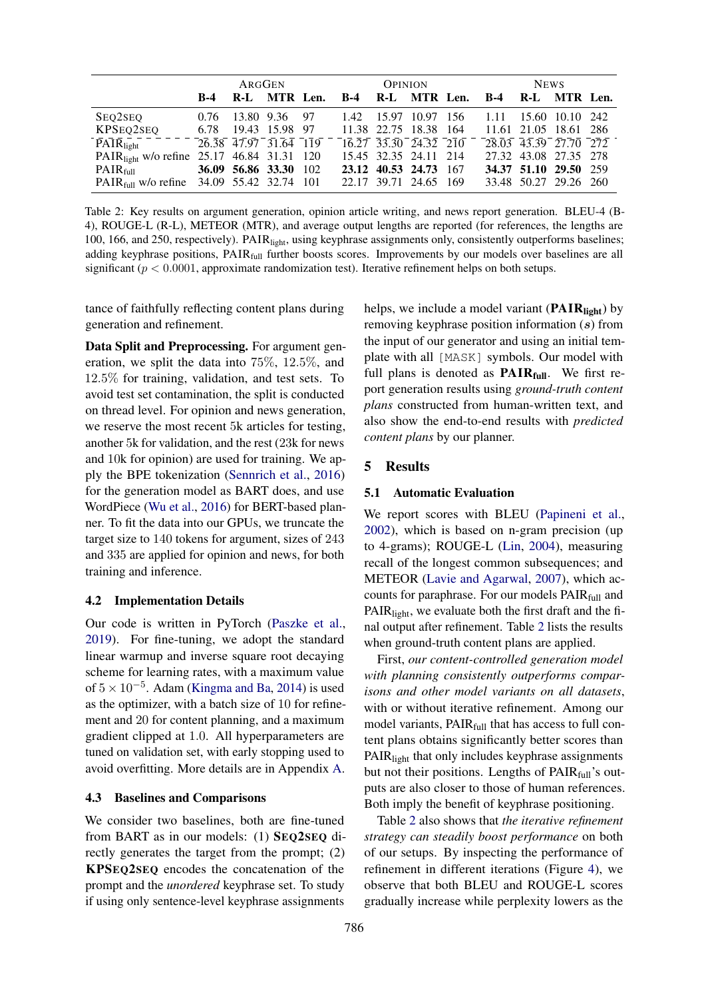<span id="page-5-1"></span>

|                                                         | ARGGEN                      |  |               | <b>OPINION</b> |                                                |  | <b>NEWS</b>           |  |                       |  |                               |  |
|---------------------------------------------------------|-----------------------------|--|---------------|----------------|------------------------------------------------|--|-----------------------|--|-----------------------|--|-------------------------------|--|
|                                                         | $B-4$                       |  |               |                | R-L MTR Len. B-4 R-L MTR Len. B-4 R-L MTR Len. |  |                       |  |                       |  |                               |  |
| SEO2SEO                                                 | 0.76                        |  | 13.80 9.36 97 |                |                                                |  | 1.42 15.97 10.97 156  |  | 1.11 15.60 10.10 242  |  |                               |  |
| KPSEQ2SEQ 6.78 19.43 15.98 97                           |                             |  |               |                | 11.38 22.75 18.38 164                          |  |                       |  | 11.61 21.05 18.61 286 |  |                               |  |
| $\overline{PA} \overline{I} \overline{R}_{light}$       | $26.38$ 47.97 $31.64$ $119$ |  |               |                | 16.27 33.30 24.32 210                          |  |                       |  |                       |  | $28.03$ $43.39$ $27.70$ $272$ |  |
| PAIR <sub>light</sub> w/o refine 25.17 46.84 31.31 120  |                             |  |               |                | 15.45 32.35 24.11 214                          |  |                       |  |                       |  | 27.32 43.08 27.35 278         |  |
| PAIR <sub>full</sub> 36.09 56.86 33.30 102              |                             |  |               |                |                                                |  | 23.12 40.53 24.73 167 |  |                       |  | 34.37 51.10 29.50 259         |  |
| PAIR <sub>full</sub> w/o refine $34.09$ 55.42 32.74 101 |                             |  |               |                | 22.17 39.71 24.65 169                          |  |                       |  |                       |  | 33.48 50.27 29.26 260         |  |

Table 2: Key results on argument generation, opinion article writing, and news report generation. BLEU-4 (B-4), ROUGE-L (R-L), METEOR (MTR), and average output lengths are reported (for references, the lengths are 100, 166, and 250, respectively). PAIRlight, using keyphrase assignments only, consistently outperforms baselines; adding keyphrase positions,  $\text{PAIR}_{\text{full}}$  further boosts scores. Improvements by our models over baselines are all significant ( $p < 0.0001$ , approximate randomization test). Iterative refinement helps on both setups.

tance of faithfully reflecting content plans during generation and refinement.

Data Split and Preprocessing. For argument generation, we split the data into 75%, 12.5%, and 12.5% for training, validation, and test sets. To avoid test set contamination, the split is conducted on thread level. For opinion and news generation, we reserve the most recent 5k articles for testing, another 5k for validation, and the rest (23k for news and 10k for opinion) are used for training. We apply the BPE tokenization [\(Sennrich et al.,](#page-11-13) [2016\)](#page-11-13) for the generation model as BART does, and use WordPiece [\(Wu et al.,](#page-11-14) [2016\)](#page-11-14) for BERT-based planner. To fit the data into our GPUs, we truncate the target size to 140 tokens for argument, sizes of 243 and 335 are applied for opinion and news, for both training and inference.

#### 4.2 Implementation Details

Our code is written in PyTorch [\(Paszke et al.,](#page-10-14) [2019\)](#page-10-14). For fine-tuning, we adopt the standard linear warmup and inverse square root decaying scheme for learning rates, with a maximum value of  $5 \times 10^{-5}$ . Adam [\(Kingma and Ba,](#page-10-15) [2014\)](#page-10-15) is used as the optimizer, with a batch size of 10 for refinement and 20 for content planning, and a maximum gradient clipped at 1.0. All hyperparameters are tuned on validation set, with early stopping used to avoid overfitting. More details are in Appendix [A.](#page-12-2)

## 4.3 Baselines and Comparisons

We consider two baselines, both are fine-tuned from BART as in our models: (1) SEQ2SEQ directly generates the target from the prompt; (2) KPSEQ2SEQ encodes the concatenation of the prompt and the *unordered* keyphrase set. To study if using only sentence-level keyphrase assignments

helps, we include a model variant  $(PAIR<sub>light</sub>)$  by removing keyphrase position information (s) from the input of our generator and using an initial template with all [MASK] symbols. Our model with full plans is denoted as  $\text{PAIR}_{full}$ . We first report generation results using *ground-truth content plans* constructed from human-written text, and also show the end-to-end results with *predicted content plans* by our planner.

## 5 Results

#### <span id="page-5-0"></span>5.1 Automatic Evaluation

We report scores with BLEU [\(Papineni et al.,](#page-10-16) [2002\)](#page-10-16), which is based on n-gram precision (up to 4-grams); ROUGE-L [\(Lin,](#page-10-17) [2004\)](#page-10-17), measuring recall of the longest common subsequences; and METEOR [\(Lavie and Agarwal,](#page-10-18) [2007\)](#page-10-18), which accounts for paraphrase. For our models PAIRfull and PAIR<sub>light</sub>, we evaluate both the first draft and the final output after refinement. Table [2](#page-5-1) lists the results when ground-truth content plans are applied.

First, *our content-controlled generation model with planning consistently outperforms comparisons and other model variants on all datasets*, with or without iterative refinement. Among our model variants, PAIR<sub>full</sub> that has access to full content plans obtains significantly better scores than PAIR<sub>light</sub> that only includes keyphrase assignments but not their positions. Lengths of PAIRfull's outputs are also closer to those of human references. Both imply the benefit of keyphrase positioning.

Table [2](#page-5-1) also shows that *the iterative refinement strategy can steadily boost performance* on both of our setups. By inspecting the performance of refinement in different iterations (Figure [4\)](#page-6-1), we observe that both BLEU and ROUGE-L scores gradually increase while perplexity lowers as the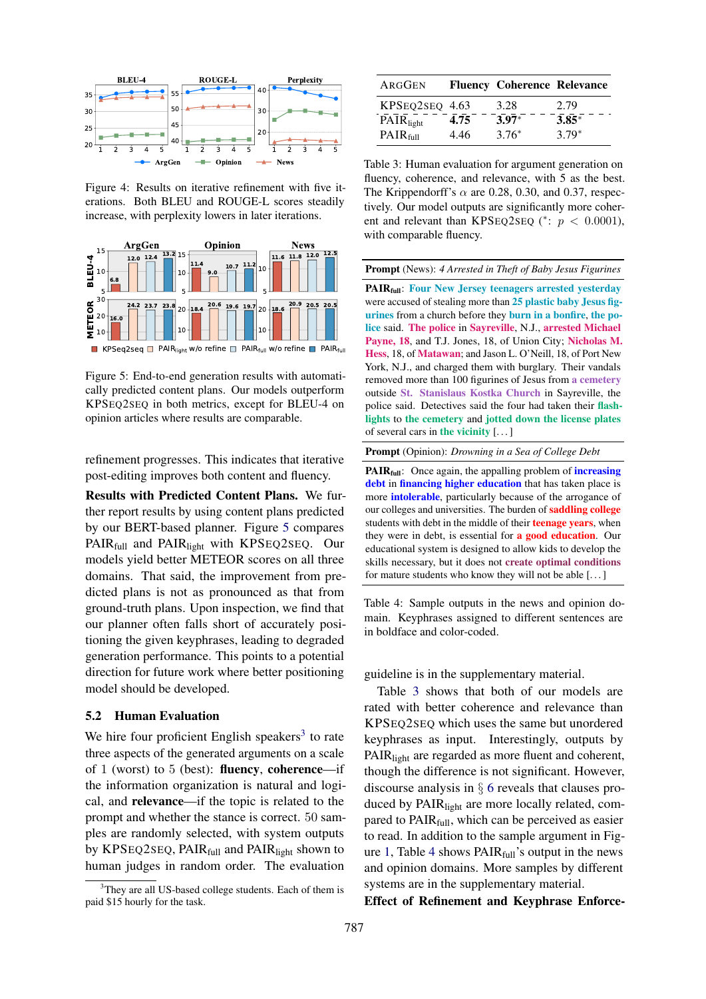<span id="page-6-1"></span>

Figure 4: Results on iterative refinement with five iterations. Both BLEU and ROUGE-L scores steadily increase, with perplexity lowers in later iterations.

<span id="page-6-2"></span>

Figure 5: End-to-end generation results with automatically predicted content plans. Our models outperform KPSEQ2SEQ in both metrics, except for BLEU-4 on opinion articles where results are comparable.

refinement progresses. This indicates that iterative post-editing improves both content and fluency.

787 1 2 3 4 5 Results with Predicted Content Plans. We further report results by using content plans predicted by our BERT-based planner. Figure [5](#page-6-2) compares PAIR<sub>full</sub> and PAIR<sub>light</sub> with KPSEQ2SEQ. Our models yield better METEOR scores on all three domains. That said, the improvement from predicted plans is not as pronounced as that from ground-truth plans. Upon inspection, we find that our planner often falls short of accurately positioning the given keyphrases, leading to degraded generation performance. This points to a potential direction for future work where better positioning model should be developed.

#### <span id="page-6-0"></span>5.2 Human Evaluation

We hire four proficient English speakers<sup>[3](#page-6-3)</sup> to rate three aspects of the generated arguments on a scale of 1 (worst) to 5 (best): **fluency**, **coherence**—if the information organization is natural and logical, and relevance—if the topic is related to the prompt and whether the stance is correct. 50 samples are randomly selected, with system outputs by KPSEQ2SEQ, PAIR<sub>full</sub> and PAIR<sub>light</sub> shown to human judges in random order. The evaluation

<span id="page-6-4"></span>

| ARGGEN               |      | <b>Fluency Coherence Relevance</b> |         |
|----------------------|------|------------------------------------|---------|
| KPSEQ2SEQ 4.63       |      | 3.28                               | 2.79    |
| PAIRlight            | 4.75 | $3.97*$                            | $3.85*$ |
| PAIR <sub>full</sub> | 4.46 | $3.76*$                            | $3.79*$ |

Table 3: Human evaluation for argument generation on fluency, coherence, and relevance, with 5 as the best. The Krippendorff's  $\alpha$  are 0.28, 0.30, and 0.37, respectively. Our model outputs are significantly more coherent and relevant than KPSEQ2SEQ (\*:  $p < 0.0001$ ), with comparable fluency.

<span id="page-6-5"></span>Prompt (News): *4 Arrested in Theft of Baby Jesus Figurines*

PAIR<sub>full</sub>: Four New Jersey teenagers arrested yesterday were accused of stealing more than 25 plastic baby Jesus figurines from a church before they burn in a bonfire, the police said. The police in Sayreville, N.J., arrested Michael Payne, 18, and T.J. Jones, 18, of Union City; Nicholas M. Hess, 18, of Matawan; and Jason L. O'Neill, 18, of Port New York, N.J., and charged them with burglary. Their vandals removed more than 100 figurines of Jesus from a cemetery outside St. Stanislaus Kostka Church in Sayreville, the police said. Detectives said the four had taken their flashlights to the cemetery and jotted down the license plates of several cars in the vicinity  $[\dots]$ 

Prompt (Opinion): *Drowning in a Sea of College Debt*

**PAIR** $_{full}$ : Once again, the appalling problem of *increasing* debt in financing higher education that has taken place is more intolerable, particularly because of the arrogance of our colleges and universities. The burden of **saddling college** students with debt in the middle of their **teenage years**, when they were in debt, is essential for **a good education**. Our educational system is designed to allow kids to develop the skills necessary, but it does not create optimal conditions for mature students who know they will not be able [. . . ]

Table 4: Sample outputs in the news and opinion domain. Keyphrases assigned to different sentences are in boldface and color-coded.

guideline is in the supplementary material.

Table [3](#page-6-4) shows that both of our models are rated with better coherence and relevance than KPSEQ2SEQ which uses the same but unordered keyphrases as input. Interestingly, outputs by PAIR<sub>light</sub> are regarded as more fluent and coherent, though the difference is not significant. However, discourse analysis in § [6](#page-7-0) reveals that clauses produced by PAIR<sub>light</sub> are more locally related, compared to  $\text{PAIR}_{\text{full}}$ , which can be perceived as easier to read. In addition to the sample argument in Fig-ure [1,](#page-0-0) Table [4](#page-6-5) shows  $\text{PAIR}_{\text{full}}$ 's output in the news and opinion domains. More samples by different systems are in the supplementary material.

Effect of Refinement and Keyphrase Enforce-

<span id="page-6-3"></span><sup>&</sup>lt;sup>3</sup>They are all US-based college students. Each of them is paid \$15 hourly for the task.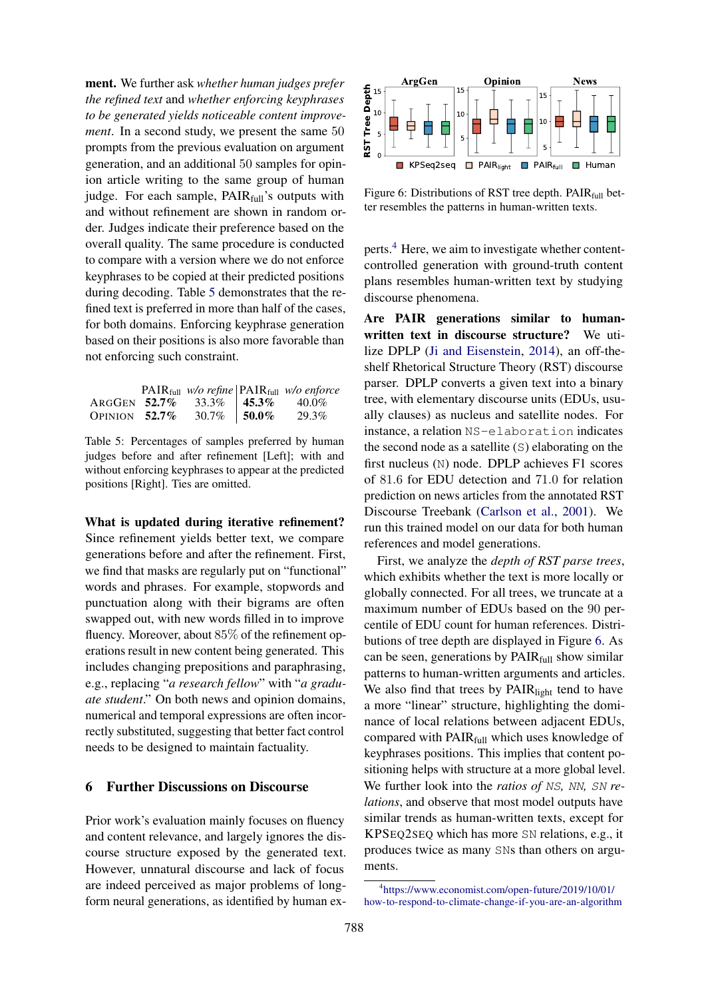ment. We further ask *whether human judges prefer the refined text* and *whether enforcing keyphrases to be generated yields noticeable content improvement*. In a second study, we present the same 50 prompts from the previous evaluation on argument generation, and an additional 50 samples for opinion article writing to the same group of human judge. For each sample, PAIR<sub>full</sub>'s outputs with and without refinement are shown in random order. Judges indicate their preference based on the overall quality. The same procedure is conducted to compare with a version where we do not enforce keyphrases to be copied at their predicted positions during decoding. Table [5](#page-7-1) demonstrates that the refined text is preferred in more than half of the cases, for both domains. Enforcing keyphrase generation based on their positions is also more favorable than not enforcing such constraint.

<span id="page-7-1"></span>

|                  |                                  | $\text{PAIR}_{\text{full}}$ w/o refine $\text{PAIR}_{\text{full}}$ w/o enforce |
|------------------|----------------------------------|--------------------------------------------------------------------------------|
|                  | ARGGEN 52.7% 33.3%   45.3% 40.0% |                                                                                |
| OPINION $52.7\%$ | $30.7\%$ 50.0%                   | 29.3%                                                                          |

Table 5: Percentages of samples preferred by human judges before and after refinement [Left]; with and without enforcing keyphrases to appear at the predicted positions [Right]. Ties are omitted.

What is updated during iterative refinement? Since refinement yields better text, we compare generations before and after the refinement. First, we find that masks are regularly put on "functional" words and phrases. For example, stopwords and punctuation along with their bigrams are often swapped out, with new words filled in to improve fluency. Moreover, about 85% of the refinement operations result in new content being generated. This includes changing prepositions and paraphrasing, e.g., replacing "*a research fellow*" with "*a graduate student*." On both news and opinion domains, numerical and temporal expressions are often incorrectly substituted, suggesting that better fact control needs to be designed to maintain factuality.

# <span id="page-7-0"></span>6 Further Discussions on Discourse

Prior work's evaluation mainly focuses on fluency and content relevance, and largely ignores the discourse structure exposed by the generated text. However, unnatural discourse and lack of focus are indeed perceived as major problems of longform neural generations, as identified by human ex-

<span id="page-7-3"></span>

Figure 6: Distributions of RST tree depth.  $\text{PAIR}_{\text{full}}$  better resembles the patterns in human-written texts.

perts.<sup>[4](#page-7-2)</sup> Here, we aim to investigate whether contentcontrolled generation with ground-truth content plans resembles human-written text by studying discourse phenomena.

Are PAIR generations similar to humanwritten text in discourse structure? We utilize DPLP [\(Ji and Eisenstein,](#page-10-19) [2014\)](#page-10-19), an off-theshelf Rhetorical Structure Theory (RST) discourse parser. DPLP converts a given text into a binary tree, with elementary discourse units (EDUs, usually clauses) as nucleus and satellite nodes. For instance, a relation NS-elaboration indicates the second node as a satellite (S) elaborating on the first nucleus (N) node. DPLP achieves F1 scores of 81.6 for EDU detection and 71.0 for relation prediction on news articles from the annotated RST Discourse Treebank [\(Carlson et al.,](#page-9-15) [2001\)](#page-9-15). We run this trained model on our data for both human references and model generations.

First, we analyze the *depth of RST parse trees*, which exhibits whether the text is more locally or globally connected. For all trees, we truncate at a maximum number of EDUs based on the 90 percentile of EDU count for human references. Distributions of tree depth are displayed in Figure [6.](#page-7-3) As can be seen, generations by  $\text{PAIR}_{full}$  show similar patterns to human-written arguments and articles. We also find that trees by PAIR<sub>light</sub> tend to have a more "linear" structure, highlighting the dominance of local relations between adjacent EDUs, compared with PAIR<sub>full</sub> which uses knowledge of keyphrases positions. This implies that content positioning helps with structure at a more global level. We further look into the *ratios of* NS, NN, SN re*lations*, and observe that most model outputs have similar trends as human-written texts, except for KPSEQ2SEQ which has more SN relations, e.g., it produces twice as many SNs than others on arguments.

<span id="page-7-2"></span><sup>4</sup> [https://www.economist.com/open-future/2019/10/01/](https://www.economist.com/open-future/2019/10/01/how-to-respond-to-climate-change-if-you-are-an-algorithm) [how-to-respond-to-climate-change-if-you-are-an-algorithm](https://www.economist.com/open-future/2019/10/01/how-to-respond-to-climate-change-if-you-are-an-algorithm)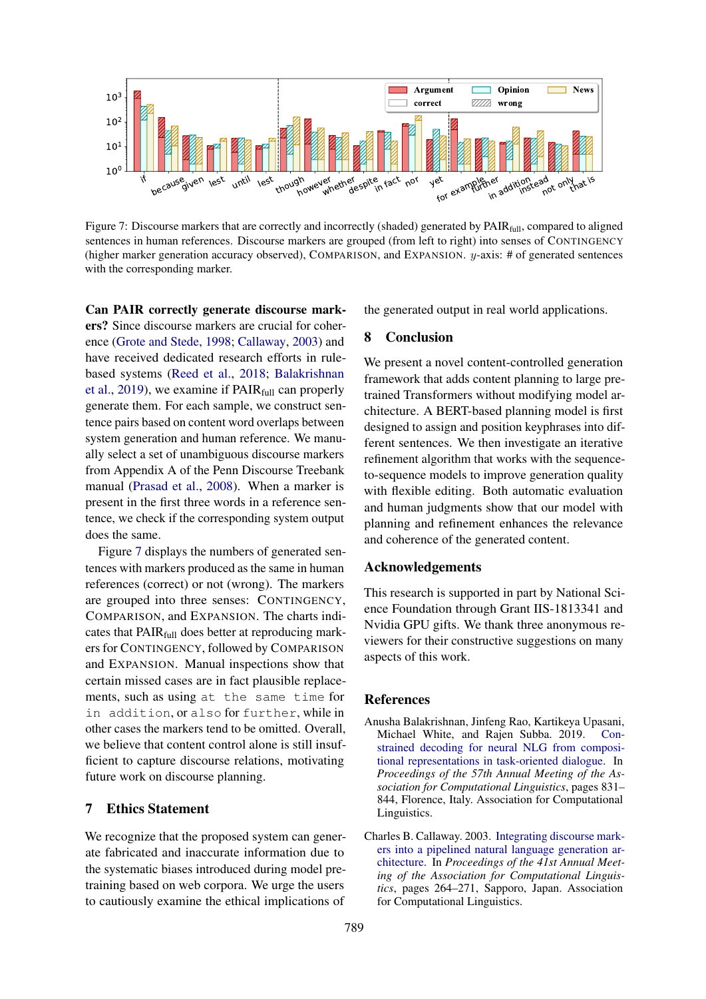<span id="page-8-2"></span>

Figure 7: Discourse markers that are correctly and incorrectly (shaded) generated by PAIR<sub>full</sub>, compared to aligned sentences in human references. Discourse markers are grouped (from left to right) into senses of CONTINGENCY (higher marker generation accuracy observed), COMPARISON, and EXPANSION.  $y$ -axis: # of generated sentences with the corresponding marker.

 $\frac{N}{1000}$   $\frac{N}{1000}$   $\frac{N}{1000}$   $\frac{N}{1000}$   $\frac{N}{1000}$   $\frac{N}{1000}$   $\frac{N}{1000}$   $\frac{N}{1000}$   $\frac{N}{1000}$   $\frac{N}{1000}$   $\frac{N}{1000}$   $\frac{N}{1000}$   $\frac{N}{1000}$   $\frac{N}{1000}$  is isoccourse markers that are correctl Can PAIR correctly generate discourse markers? Since discourse markers are crucial for coherence [\(Grote and Stede,](#page-9-16) [1998;](#page-9-16) [Callaway,](#page-8-1) [2003\)](#page-8-1) and have received dedicated research efforts in rulebased systems [\(Reed et al.,](#page-11-15) [2018;](#page-11-15) [Balakrishnan](#page-8-0) [et al.,](#page-8-0) [2019\)](#page-8-0), we examine if  $\text{PAIR}_{\text{full}}$  can properly generate them. For each sample, we construct sentence pairs based on content word overlaps between system generation and human reference. We manually select a set of unambiguous discourse markers from Appendix A of the Penn Discourse Treebank manual [\(Prasad et al.,](#page-11-16) [2008\)](#page-11-16). When a marker is present in the first three words in a reference sentence, we check if the corresponding system output does the same.

Figure [7](#page-8-2) displays the numbers of generated sentences with markers produced as the same in human references (correct) or not (wrong). The markers are grouped into three senses: CONTINGENCY, COMPARISON, and EXPANSION. The charts indicates that  $\text{PAIR}_{\text{full}}$  does better at reproducing markers for CONTINGENCY, followed by COMPARISON and EXPANSION. Manual inspections show that certain missed cases are in fact plausible replacements, such as using at the same time for in addition, or also for further, while in other cases the markers tend to be omitted. Overall, we believe that content control alone is still insufficient to capture discourse relations, motivating future work on discourse planning.

#### 7 Ethics Statement

We recognize that the proposed system can generate fabricated and inaccurate information due to the systematic biases introduced during model pretraining based on web corpora. We urge the users to cautiously examine the ethical implications of

the generated output in real world applications.

# 8 Conclusion

We present a novel content-controlled generation framework that adds content planning to large pretrained Transformers without modifying model architecture. A BERT-based planning model is first designed to assign and position keyphrases into different sentences. We then investigate an iterative refinement algorithm that works with the sequenceto-sequence models to improve generation quality with flexible editing. Both automatic evaluation and human judgments show that our model with planning and refinement enhances the relevance and coherence of the generated content.

#### Acknowledgements

This research is supported in part by National Science Foundation through Grant IIS-1813341 and Nvidia GPU gifts. We thank three anonymous reviewers for their constructive suggestions on many aspects of this work.

# References

- <span id="page-8-0"></span>Anusha Balakrishnan, Jinfeng Rao, Kartikeya Upasani, Michael White, and Rajen Subba. 2019. [Con](https://doi.org/10.18653/v1/P19-1080)[strained decoding for neural NLG from composi](https://doi.org/10.18653/v1/P19-1080)[tional representations in task-oriented dialogue.](https://doi.org/10.18653/v1/P19-1080) In *Proceedings of the 57th Annual Meeting of the Association for Computational Linguistics*, pages 831– 844, Florence, Italy. Association for Computational Linguistics.
- <span id="page-8-1"></span>Charles B. Callaway. 2003. [Integrating discourse mark](https://doi.org/10.3115/1075096.1075130)[ers into a pipelined natural language generation ar](https://doi.org/10.3115/1075096.1075130)[chitecture.](https://doi.org/10.3115/1075096.1075130) In *Proceedings of the 41st Annual Meeting of the Association for Computational Linguistics*, pages 264–271, Sapporo, Japan. Association for Computational Linguistics.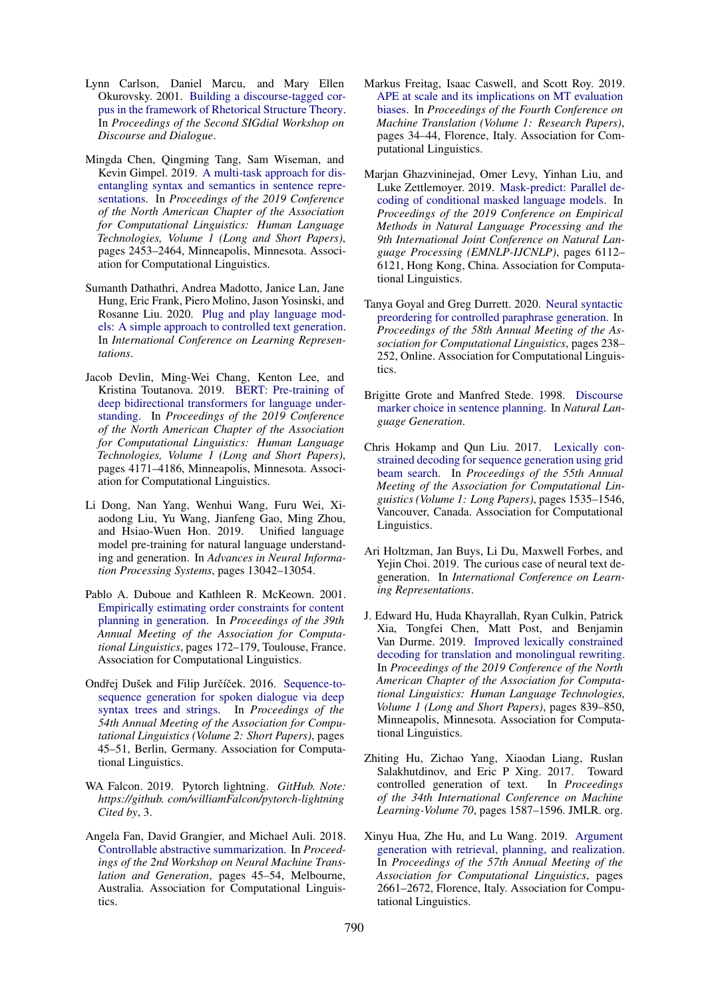- <span id="page-9-15"></span>Lynn Carlson, Daniel Marcu, and Mary Ellen Okurovsky. 2001. [Building a discourse-tagged cor](https://www.aclweb.org/anthology/W01-1605)[pus in the framework of Rhetorical Structure Theory.](https://www.aclweb.org/anthology/W01-1605) In *Proceedings of the Second SIGdial Workshop on Discourse and Dialogue*.
- <span id="page-9-4"></span>Mingda Chen, Qingming Tang, Sam Wiseman, and Kevin Gimpel. 2019. [A multi-task approach for dis](https://doi.org/10.18653/v1/N19-1254)[entangling syntax and semantics in sentence repre](https://doi.org/10.18653/v1/N19-1254)[sentations.](https://doi.org/10.18653/v1/N19-1254) In *Proceedings of the 2019 Conference of the North American Chapter of the Association for Computational Linguistics: Human Language Technologies, Volume 1 (Long and Short Papers)*, pages 2453–2464, Minneapolis, Minnesota. Association for Computational Linguistics.
- <span id="page-9-7"></span>Sumanth Dathathri, Andrea Madotto, Janice Lan, Jane Hung, Eric Frank, Piero Molino, Jason Yosinski, and Rosanne Liu. 2020. [Plug and play language mod](https://openreview.net/forum?id=H1edEyBKDS)[els: A simple approach to controlled text generation.](https://openreview.net/forum?id=H1edEyBKDS) In *International Conference on Learning Representations*.
- <span id="page-9-0"></span>Jacob Devlin, Ming-Wei Chang, Kenton Lee, and Kristina Toutanova. 2019. [BERT: Pre-training of](https://doi.org/10.18653/v1/N19-1423) [deep bidirectional transformers for language under](https://doi.org/10.18653/v1/N19-1423)[standing.](https://doi.org/10.18653/v1/N19-1423) In *Proceedings of the 2019 Conference of the North American Chapter of the Association for Computational Linguistics: Human Language Technologies, Volume 1 (Long and Short Papers)*, pages 4171–4186, Minneapolis, Minnesota. Association for Computational Linguistics.
- <span id="page-9-10"></span>Li Dong, Nan Yang, Wenhui Wang, Furu Wei, Xiaodong Liu, Yu Wang, Jianfeng Gao, Ming Zhou, and Hsiao-Wuen Hon. 2019. Unified language model pre-training for natural language understanding and generation. In *Advances in Neural Information Processing Systems*, pages 13042–13054.
- <span id="page-9-1"></span>Pablo A. Duboue and Kathleen R. McKeown. 2001. [Empirically estimating order constraints for content](https://doi.org/10.3115/1073012.1073035) [planning in generation.](https://doi.org/10.3115/1073012.1073035) In *Proceedings of the 39th Annual Meeting of the Association for Computational Linguistics*, pages 172–179, Toulouse, France. Association for Computational Linguistics.
- <span id="page-9-2"></span>Ondřej Dušek and Filip Jurčíček. 2016. [Sequence-to](https://doi.org/10.18653/v1/P16-2008)[sequence generation for spoken dialogue via deep](https://doi.org/10.18653/v1/P16-2008) [syntax trees and strings.](https://doi.org/10.18653/v1/P16-2008) In *Proceedings of the 54th Annual Meeting of the Association for Computational Linguistics (Volume 2: Short Papers)*, pages 45–51, Berlin, Germany. Association for Computational Linguistics.
- <span id="page-9-17"></span>WA Falcon. 2019. Pytorch lightning. *GitHub. Note: https://github. com/williamFalcon/pytorch-lightning Cited by*, 3.
- <span id="page-9-5"></span>Angela Fan, David Grangier, and Michael Auli. 2018. [Controllable abstractive summarization.](https://doi.org/10.18653/v1/W18-2706) In *Proceedings of the 2nd Workshop on Neural Machine Translation and Generation*, pages 45–54, Melbourne, Australia. Association for Computational Linguistics.
- <span id="page-9-8"></span>Markus Freitag, Isaac Caswell, and Scott Roy. 2019. [APE at scale and its implications on MT evaluation](https://doi.org/10.18653/v1/W19-5204) [biases.](https://doi.org/10.18653/v1/W19-5204) In *Proceedings of the Fourth Conference on Machine Translation (Volume 1: Research Papers)*, pages 34–44, Florence, Italy. Association for Computational Linguistics.
- <span id="page-9-9"></span>Marjan Ghazvininejad, Omer Levy, Yinhan Liu, and Luke Zettlemoyer. 2019. [Mask-predict: Parallel de](https://doi.org/10.18653/v1/D19-1633)[coding of conditional masked language models.](https://doi.org/10.18653/v1/D19-1633) In *Proceedings of the 2019 Conference on Empirical Methods in Natural Language Processing and the 9th International Joint Conference on Natural Language Processing (EMNLP-IJCNLP)*, pages 6112– 6121, Hong Kong, China. Association for Computational Linguistics.
- <span id="page-9-3"></span>Tanya Goyal and Greg Durrett. 2020. [Neural syntactic](https://doi.org/10.18653/v1/2020.acl-main.22) [preordering for controlled paraphrase generation.](https://doi.org/10.18653/v1/2020.acl-main.22) In *Proceedings of the 58th Annual Meeting of the Association for Computational Linguistics*, pages 238– 252, Online. Association for Computational Linguistics.
- <span id="page-9-16"></span>Brigitte Grote and Manfred Stede. 1998. [Discourse](https://www.aclweb.org/anthology/W98-1414) [marker choice in sentence planning.](https://www.aclweb.org/anthology/W98-1414) In *Natural Language Generation*.
- <span id="page-9-11"></span>Chris Hokamp and Qun Liu. 2017. [Lexically con](https://doi.org/10.18653/v1/P17-1141)[strained decoding for sequence generation using grid](https://doi.org/10.18653/v1/P17-1141) [beam search.](https://doi.org/10.18653/v1/P17-1141) In *Proceedings of the 55th Annual Meeting of the Association for Computational Linguistics (Volume 1: Long Papers)*, pages 1535–1546, Vancouver, Canada. Association for Computational Linguistics.
- <span id="page-9-13"></span>Ari Holtzman, Jan Buys, Li Du, Maxwell Forbes, and Yejin Choi. 2019. The curious case of neural text degeneration. In *International Conference on Learning Representations*.
- <span id="page-9-12"></span>J. Edward Hu, Huda Khayrallah, Ryan Culkin, Patrick Xia, Tongfei Chen, Matt Post, and Benjamin Van Durme. 2019. [Improved lexically constrained](https://doi.org/10.18653/v1/N19-1090) [decoding for translation and monolingual rewriting.](https://doi.org/10.18653/v1/N19-1090) In *Proceedings of the 2019 Conference of the North American Chapter of the Association for Computational Linguistics: Human Language Technologies, Volume 1 (Long and Short Papers)*, pages 839–850, Minneapolis, Minnesota. Association for Computational Linguistics.
- <span id="page-9-6"></span>Zhiting Hu, Zichao Yang, Xiaodan Liang, Ruslan Salakhutdinov, and Eric P Xing. 2017. Toward controlled generation of text. In *Proceedings of the 34th International Conference on Machine Learning-Volume 70*, pages 1587–1596. JMLR. org.
- <span id="page-9-14"></span>Xinyu Hua, Zhe Hu, and Lu Wang. 2019. [Argument](https://doi.org/10.18653/v1/P19-1255) [generation with retrieval, planning, and realization.](https://doi.org/10.18653/v1/P19-1255) In *Proceedings of the 57th Annual Meeting of the Association for Computational Linguistics*, pages 2661–2672, Florence, Italy. Association for Computational Linguistics.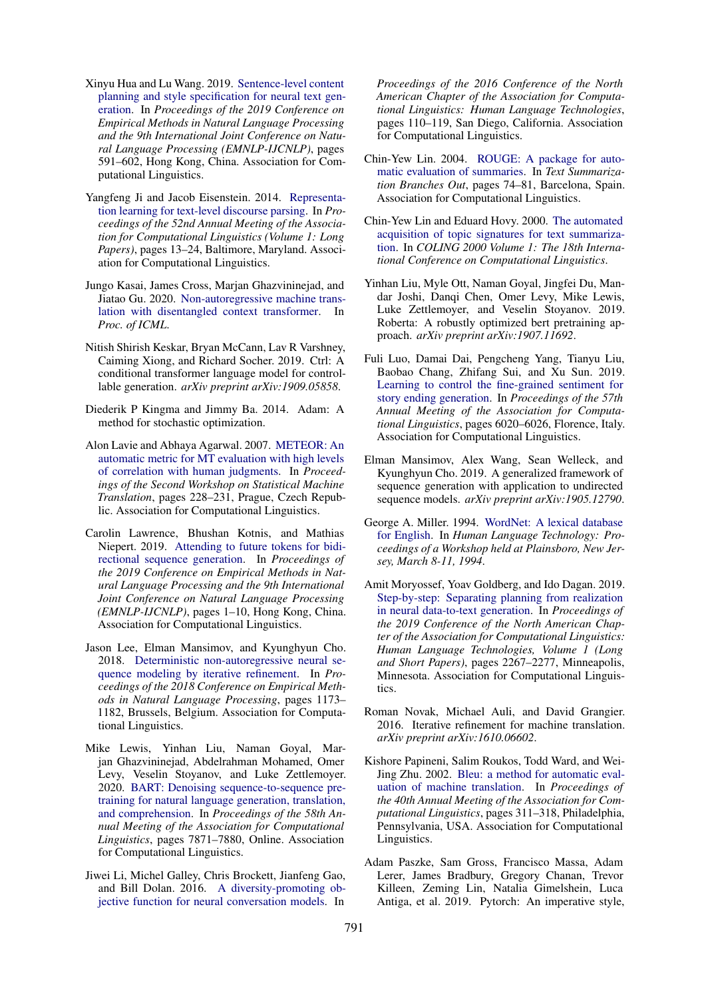- <span id="page-10-4"></span>Xinyu Hua and Lu Wang. 2019. [Sentence-level content](https://doi.org/10.18653/v1/D19-1055) [planning and style specification for neural text gen](https://doi.org/10.18653/v1/D19-1055)[eration.](https://doi.org/10.18653/v1/D19-1055) In *Proceedings of the 2019 Conference on Empirical Methods in Natural Language Processing and the 9th International Joint Conference on Natural Language Processing (EMNLP-IJCNLP)*, pages 591–602, Hong Kong, China. Association for Computational Linguistics.
- <span id="page-10-19"></span>Yangfeng Ji and Jacob Eisenstein. 2014. [Representa](https://doi.org/10.3115/v1/P14-1002)[tion learning for text-level discourse parsing.](https://doi.org/10.3115/v1/P14-1002) In *Proceedings of the 52nd Annual Meeting of the Association for Computational Linguistics (Volume 1: Long Papers)*, pages 13–24, Baltimore, Maryland. Association for Computational Linguistics.
- <span id="page-10-9"></span>Jungo Kasai, James Cross, Marjan Ghazvininejad, and Jiatao Gu. 2020. [Non-autoregressive machine trans](https://arxiv.org/abs/2001.05136)[lation with disentangled context transformer.](https://arxiv.org/abs/2001.05136) In *Proc. of ICML*.
- <span id="page-10-2"></span>Nitish Shirish Keskar, Bryan McCann, Lav R Varshney, Caiming Xiong, and Richard Socher. 2019. Ctrl: A conditional transformer language model for controllable generation. *arXiv preprint arXiv:1909.05858*.
- <span id="page-10-15"></span>Diederik P Kingma and Jimmy Ba. 2014. Adam: A method for stochastic optimization.
- <span id="page-10-18"></span>Alon Lavie and Abhaya Agarwal. 2007. [METEOR: An](https://www.aclweb.org/anthology/W07-0734) [automatic metric for MT evaluation with high levels](https://www.aclweb.org/anthology/W07-0734) [of correlation with human judgments.](https://www.aclweb.org/anthology/W07-0734) In *Proceedings of the Second Workshop on Statistical Machine Translation*, pages 228–231, Prague, Czech Republic. Association for Computational Linguistics.
- <span id="page-10-10"></span>Carolin Lawrence, Bhushan Kotnis, and Mathias Niepert. 2019. [Attending to future tokens for bidi](https://doi.org/10.18653/v1/D19-1001)[rectional sequence generation.](https://doi.org/10.18653/v1/D19-1001) In *Proceedings of the 2019 Conference on Empirical Methods in Natural Language Processing and the 9th International Joint Conference on Natural Language Processing (EMNLP-IJCNLP)*, pages 1–10, Hong Kong, China. Association for Computational Linguistics.
- <span id="page-10-7"></span>Jason Lee, Elman Mansimov, and Kyunghyun Cho. 2018. [Deterministic non-autoregressive neural se](https://doi.org/10.18653/v1/D18-1149)[quence modeling by iterative refinement.](https://doi.org/10.18653/v1/D18-1149) In *Proceedings of the 2018 Conference on Empirical Methods in Natural Language Processing*, pages 1173– 1182, Brussels, Belgium. Association for Computational Linguistics.
- <span id="page-10-1"></span>Mike Lewis, Yinhan Liu, Naman Goyal, Marjan Ghazvininejad, Abdelrahman Mohamed, Omer Levy, Veselin Stoyanov, and Luke Zettlemoyer. 2020. [BART: Denoising sequence-to-sequence pre](https://doi.org/10.18653/v1/2020.acl-main.703)[training for natural language generation, translation,](https://doi.org/10.18653/v1/2020.acl-main.703) [and comprehension.](https://doi.org/10.18653/v1/2020.acl-main.703) In *Proceedings of the 58th Annual Meeting of the Association for Computational Linguistics*, pages 7871–7880, Online. Association for Computational Linguistics.
- <span id="page-10-5"></span>Jiwei Li, Michel Galley, Chris Brockett, Jianfeng Gao, and Bill Dolan. 2016. [A diversity-promoting ob](https://doi.org/10.18653/v1/N16-1014)[jective function for neural conversation models.](https://doi.org/10.18653/v1/N16-1014) In

*Proceedings of the 2016 Conference of the North American Chapter of the Association for Computational Linguistics: Human Language Technologies*, pages 110–119, San Diego, California. Association for Computational Linguistics.

- <span id="page-10-17"></span>Chin-Yew Lin. 2004. [ROUGE: A package for auto](https://www.aclweb.org/anthology/W04-1013)[matic evaluation of summaries.](https://www.aclweb.org/anthology/W04-1013) In *Text Summarization Branches Out*, pages 74–81, Barcelona, Spain. Association for Computational Linguistics.
- <span id="page-10-12"></span>Chin-Yew Lin and Eduard Hovy. 2000. [The automated](http://aclweb.org/anthology/C00-1072) [acquisition of topic signatures for text summariza](http://aclweb.org/anthology/C00-1072)[tion.](http://aclweb.org/anthology/C00-1072) In *COLING 2000 Volume 1: The 18th International Conference on Computational Linguistics*.
- <span id="page-10-0"></span>Yinhan Liu, Myle Ott, Naman Goyal, Jingfei Du, Mandar Joshi, Danqi Chen, Omer Levy, Mike Lewis, Luke Zettlemoyer, and Veselin Stoyanov. 2019. Roberta: A robustly optimized bert pretraining approach. *arXiv preprint arXiv:1907.11692*.
- <span id="page-10-6"></span>Fuli Luo, Damai Dai, Pengcheng Yang, Tianyu Liu, Baobao Chang, Zhifang Sui, and Xu Sun. 2019. [Learning to control the fine-grained sentiment for](https://doi.org/10.18653/v1/P19-1603) [story ending generation.](https://doi.org/10.18653/v1/P19-1603) In *Proceedings of the 57th Annual Meeting of the Association for Computational Linguistics*, pages 6020–6026, Florence, Italy. Association for Computational Linguistics.
- <span id="page-10-8"></span>Elman Mansimov, Alex Wang, Sean Welleck, and Kyunghyun Cho. 2019. A generalized framework of sequence generation with application to undirected sequence models. *arXiv preprint arXiv:1905.12790*.
- <span id="page-10-13"></span>George A. Miller. 1994. [WordNet: A lexical database](https://www.aclweb.org/anthology/H94-1111) [for English.](https://www.aclweb.org/anthology/H94-1111) In *Human Language Technology: Proceedings of a Workshop held at Plainsboro, New Jersey, March 8-11, 1994*.
- <span id="page-10-3"></span>Amit Moryossef, Yoav Goldberg, and Ido Dagan. 2019. [Step-by-step: Separating planning from realization](https://doi.org/10.18653/v1/N19-1236) [in neural data-to-text generation.](https://doi.org/10.18653/v1/N19-1236) In *Proceedings of the 2019 Conference of the North American Chapter of the Association for Computational Linguistics: Human Language Technologies, Volume 1 (Long and Short Papers)*, pages 2267–2277, Minneapolis, Minnesota. Association for Computational Linguistics.
- <span id="page-10-11"></span>Roman Novak, Michael Auli, and David Grangier. 2016. Iterative refinement for machine translation. *arXiv preprint arXiv:1610.06602*.
- <span id="page-10-16"></span>Kishore Papineni, Salim Roukos, Todd Ward, and Wei-Jing Zhu. 2002. [Bleu: a method for automatic eval](https://doi.org/10.3115/1073083.1073135)[uation of machine translation.](https://doi.org/10.3115/1073083.1073135) In *Proceedings of the 40th Annual Meeting of the Association for Computational Linguistics*, pages 311–318, Philadelphia, Pennsylvania, USA. Association for Computational Linguistics.
- <span id="page-10-14"></span>Adam Paszke, Sam Gross, Francisco Massa, Adam Lerer, James Bradbury, Gregory Chanan, Trevor Killeen, Zeming Lin, Natalia Gimelshein, Luca Antiga, et al. 2019. Pytorch: An imperative style,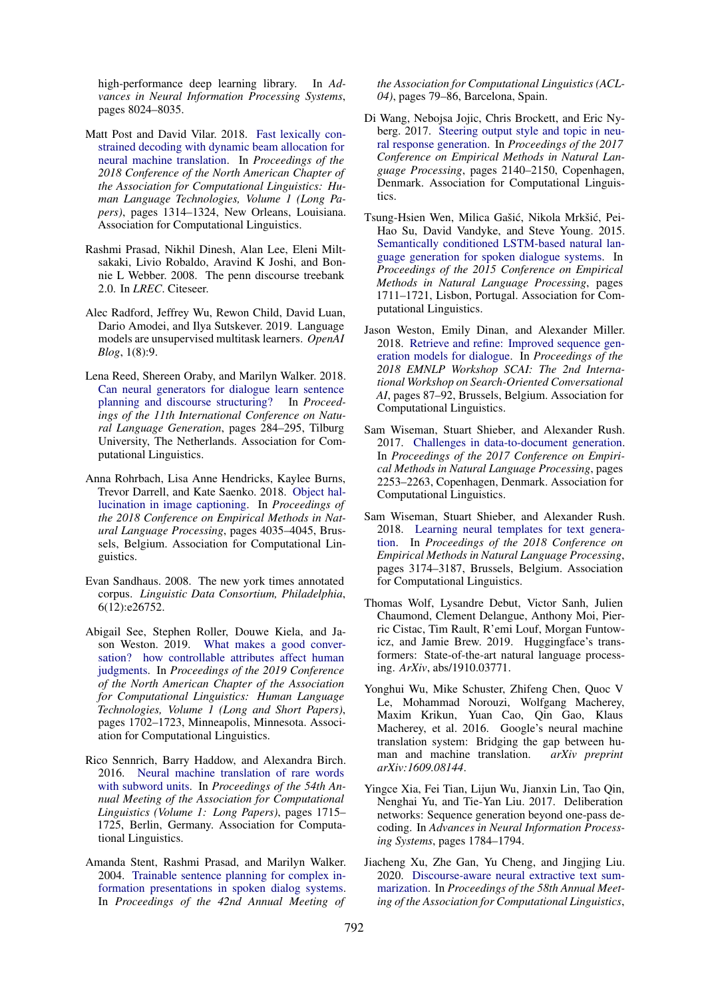high-performance deep learning library. In *Advances in Neural Information Processing Systems*, pages 8024–8035.

- <span id="page-11-12"></span>Matt Post and David Vilar. 2018. [Fast lexically con](https://doi.org/10.18653/v1/N18-1119)[strained decoding with dynamic beam allocation for](https://doi.org/10.18653/v1/N18-1119) [neural machine translation.](https://doi.org/10.18653/v1/N18-1119) In *Proceedings of the 2018 Conference of the North American Chapter of the Association for Computational Linguistics: Human Language Technologies, Volume 1 (Long Papers)*, pages 1314–1324, New Orleans, Louisiana. Association for Computational Linguistics.
- <span id="page-11-16"></span>Rashmi Prasad, Nikhil Dinesh, Alan Lee, Eleni Miltsakaki, Livio Robaldo, Aravind K Joshi, and Bonnie L Webber. 2008. The penn discourse treebank 2.0. In *LREC*. Citeseer.
- <span id="page-11-0"></span>Alec Radford, Jeffrey Wu, Rewon Child, David Luan, Dario Amodei, and Ilya Sutskever. 2019. Language models are unsupervised multitask learners. *OpenAI Blog*, 1(8):9.
- <span id="page-11-15"></span>Lena Reed, Shereen Oraby, and Marilyn Walker. 2018. [Can neural generators for dialogue learn sentence](https://doi.org/10.18653/v1/W18-6535) [planning and discourse structuring?](https://doi.org/10.18653/v1/W18-6535) In *Proceedings of the 11th International Conference on Natural Language Generation*, pages 284–295, Tilburg University, The Netherlands. Association for Computational Linguistics.
- <span id="page-11-4"></span>Anna Rohrbach, Lisa Anne Hendricks, Kaylee Burns, Trevor Darrell, and Kate Saenko. 2018. [Object hal](https://doi.org/10.18653/v1/D18-1437)[lucination in image captioning.](https://doi.org/10.18653/v1/D18-1437) In *Proceedings of the 2018 Conference on Empirical Methods in Natural Language Processing*, pages 4035–4045, Brussels, Belgium. Association for Computational Linguistics.
- <span id="page-11-2"></span>Evan Sandhaus. 2008. The new york times annotated corpus. *Linguistic Data Consortium, Philadelphia*, 6(12):e26752.
- <span id="page-11-9"></span>Abigail See, Stephen Roller, Douwe Kiela, and Jason Weston. 2019. [What makes a good conver](https://doi.org/10.18653/v1/N19-1170)[sation? how controllable attributes affect human](https://doi.org/10.18653/v1/N19-1170) [judgments.](https://doi.org/10.18653/v1/N19-1170) In *Proceedings of the 2019 Conference of the North American Chapter of the Association for Computational Linguistics: Human Language Technologies, Volume 1 (Long and Short Papers)*, pages 1702–1723, Minneapolis, Minnesota. Association for Computational Linguistics.
- <span id="page-11-13"></span>Rico Sennrich, Barry Haddow, and Alexandra Birch. 2016. [Neural machine translation of rare words](https://doi.org/10.18653/v1/P16-1162) [with subword units.](https://doi.org/10.18653/v1/P16-1162) In *Proceedings of the 54th Annual Meeting of the Association for Computational Linguistics (Volume 1: Long Papers)*, pages 1715– 1725, Berlin, Germany. Association for Computational Linguistics.
- <span id="page-11-1"></span>Amanda Stent, Rashmi Prasad, and Marilyn Walker. 2004. [Trainable sentence planning for complex in](https://doi.org/10.3115/1218955.1218966)[formation presentations in spoken dialog systems.](https://doi.org/10.3115/1218955.1218966) In *Proceedings of the 42nd Annual Meeting of*

*the Association for Computational Linguistics (ACL-04)*, pages 79–86, Barcelona, Spain.

- <span id="page-11-8"></span>Di Wang, Nebojsa Jojic, Chris Brockett, and Eric Nyberg. 2017. [Steering output style and topic in neu](https://doi.org/10.18653/v1/D17-1228)[ral response generation.](https://doi.org/10.18653/v1/D17-1228) In *Proceedings of the 2017 Conference on Empirical Methods in Natural Language Processing*, pages 2140–2150, Copenhagen, Denmark. Association for Computational Linguistics.
- <span id="page-11-7"></span>Tsung-Hsien Wen, Milica Gašić, Nikola Mrkšić, Pei-Hao Su, David Vandyke, and Steve Young. 2015. [Semantically conditioned LSTM-based natural lan](https://doi.org/10.18653/v1/D15-1199)[guage generation for spoken dialogue systems.](https://doi.org/10.18653/v1/D15-1199) In *Proceedings of the 2015 Conference on Empirical Methods in Natural Language Processing*, pages 1711–1721, Lisbon, Portugal. Association for Computational Linguistics.
- <span id="page-11-11"></span>Jason Weston, Emily Dinan, and Alexander Miller. 2018. [Retrieve and refine: Improved sequence gen](https://doi.org/10.18653/v1/W18-5713)[eration models for dialogue.](https://doi.org/10.18653/v1/W18-5713) In *Proceedings of the 2018 EMNLP Workshop SCAI: The 2nd International Workshop on Search-Oriented Conversational AI*, pages 87–92, Brussels, Belgium. Association for Computational Linguistics.
- <span id="page-11-3"></span>Sam Wiseman, Stuart Shieber, and Alexander Rush. 2017. [Challenges in data-to-document generation.](https://doi.org/10.18653/v1/D17-1239) In *Proceedings of the 2017 Conference on Empirical Methods in Natural Language Processing*, pages 2253–2263, Copenhagen, Denmark. Association for Computational Linguistics.
- <span id="page-11-6"></span>Sam Wiseman, Stuart Shieber, and Alexander Rush. 2018. [Learning neural templates for text genera](https://doi.org/10.18653/v1/D18-1356)[tion.](https://doi.org/10.18653/v1/D18-1356) In *Proceedings of the 2018 Conference on Empirical Methods in Natural Language Processing*, pages 3174–3187, Brussels, Belgium. Association for Computational Linguistics.
- <span id="page-11-17"></span>Thomas Wolf, Lysandre Debut, Victor Sanh, Julien Chaumond, Clement Delangue, Anthony Moi, Pierric Cistac, Tim Rault, R'emi Louf, Morgan Funtowicz, and Jamie Brew. 2019. Huggingface's transformers: State-of-the-art natural language processing. *ArXiv*, abs/1910.03771.
- <span id="page-11-14"></span>Yonghui Wu, Mike Schuster, Zhifeng Chen, Quoc V Le, Mohammad Norouzi, Wolfgang Macherey, Maxim Krikun, Yuan Cao, Qin Gao, Klaus Macherey, et al. 2016. Google's neural machine translation system: Bridging the gap between human and machine translation. *arXiv preprint arXiv:1609.08144*.
- <span id="page-11-10"></span>Yingce Xia, Fei Tian, Lijun Wu, Jianxin Lin, Tao Qin, Nenghai Yu, and Tie-Yan Liu. 2017. Deliberation networks: Sequence generation beyond one-pass decoding. In *Advances in Neural Information Processing Systems*, pages 1784–1794.
- <span id="page-11-5"></span>Jiacheng Xu, Zhe Gan, Yu Cheng, and Jingjing Liu. 2020. [Discourse-aware neural extractive text sum](https://doi.org/10.18653/v1/2020.acl-main.451)[marization.](https://doi.org/10.18653/v1/2020.acl-main.451) In *Proceedings of the 58th Annual Meeting of the Association for Computational Linguistics*,